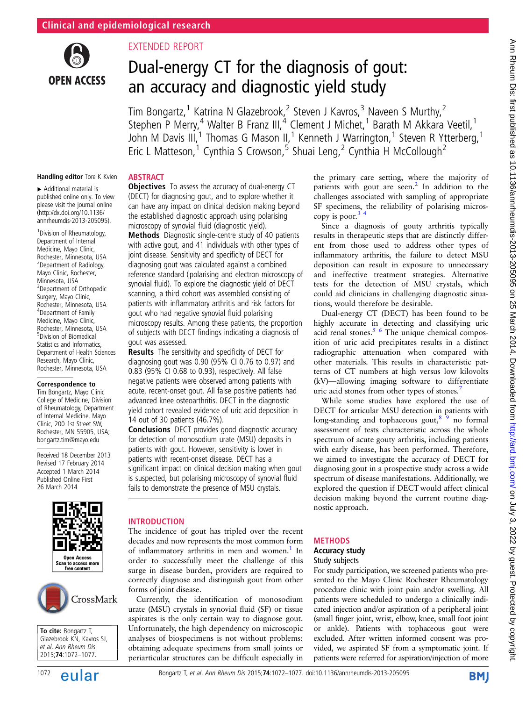

# EXTENDED REPORT

**ABSTRACT** 

# Dual-energy CT for the diagnosis of gout: an accuracy and diagnostic yield study

Tim Bongartz,<sup>1</sup> Katrina N Glazebrook,<sup>2</sup> Steven J Kavros,<sup>3</sup> Naveen S Murthy,<sup>2</sup> Stephen P Merry,<sup>4</sup> Walter B Franz III,<sup>4</sup> Clement J Michet,<sup>1</sup> Barath M Akkara Veetil,<sup>1</sup> John M Davis III,<sup>1</sup> Thomas G Mason II,<sup>1</sup> Kenneth J Warrington,<sup>1</sup> Steven R Ytterberg,<sup>1</sup> Eric L Matteson,<sup>1</sup> Cynthia S Crowson,<sup>5</sup> Shuai Leng,<sup>2</sup> Cynthia H McCollough<sup>2</sup>

copy is poor. $3$ 

#### Handling editor Tore K Kvien

▸ Additional material is published online only. To view please visit the journal online [\(http://dx.doi.org/10.1136/](http://dx.doi.org/10.1136/annrheumdis-2013-205095) [annrheumdis-2013-205095\)](http://dx.doi.org/10.1136/annrheumdis-2013-205095).

<sup>1</sup> Division of Rheumatology, Department of Internal Medicine, Mayo Clinic, Rochester, Minnesota, USA 2 Department of Radiology, Mayo Clinic, Rochester, Minnesota, USA <sup>3</sup> Department of Orthopedic Surgery, Mayo Clinic, Rochester, Minnesota, USA 4 Department of Family Medicine, Mayo Clinic, Rochester, Minnesota, USA 5 Division of Biomedical Statistics and Informatics, Department of Health Sciences Research, Mayo Clinic, Rochester, Minnesota, USA

#### Correspondence to

Tim Bongartz, Mayo Clinic College of Medicine, Division of Rheumatology, Department of Internal Medicine, Mayo Clinic, 200 1st Street SW, Rochester, MN 55905, USA; bongartz.tim@mayo.edu

Received 18 December 2013 Revised 17 February 2014 Accepted 1 March 2014 Published Online First 26 March 2014





To cite: Bongartz T, Glazebrook KN, Kavros SJ, et al. Ann Rheum Dis 2015;74:1072–1077.

#### **Objectives** To assess the accuracy of dual-energy CT (DECT) for diagnosing gout, and to explore whether it can have any impact on clinical decision making beyond the established diagnostic approach using polarising microscopy of synovial fluid (diagnostic yield).

Methods Diagnostic single-centre study of 40 patients with active gout, and 41 individuals with other types of joint disease. Sensitivity and specificity of DECT for diagnosing gout was calculated against a combined reference standard (polarising and electron microscopy of synovial fluid). To explore the diagnostic yield of DECT scanning, a third cohort was assembled consisting of patients with inflammatory arthritis and risk factors for gout who had negative synovial fluid polarising microscopy results. Among these patients, the proportion of subjects with DECT findings indicating a diagnosis of gout was assessed.

Results The sensitivity and specificity of DECT for diagnosing gout was 0.90 (95% CI 0.76 to 0.97) and 0.83 (95% CI 0.68 to 0.93), respectively. All false negative patients were observed among patients with acute, recent-onset gout. All false positive patients had advanced knee osteoarthritis. DECT in the diagnostic yield cohort revealed evidence of uric acid deposition in 14 out of 30 patients (46.7%).

**Conclusions** DECT provides good diagnostic accuracy for detection of monosodium urate (MSU) deposits in patients with gout. However, sensitivity is lower in patients with recent-onset disease. DECT has a significant impact on clinical decision making when gout is suspected, but polarising microscopy of synovial fluid fails to demonstrate the presence of MSU crystals.

## INTRODUCTION

The incidence of gout has tripled over the recent decades and now represents the most common form of inflammatory arthritis in men and women.<sup>1</sup> In order to successfully meet the challenge of this surge in disease burden, providers are required to correctly diagnose and distinguish gout from other forms of joint disease.

Currently, the identification of monosodium urate (MSU) crystals in synovial fluid (SF) or tissue aspirates is the only certain way to diagnose gout. Unfortunately, the high dependency on microscopic analyses of biospecimens is not without problems: obtaining adequate specimens from small joints or periarticular structures can be difficult especially in

Accuracy study

METHODS

# Study subjects For study participation, we screened patients who pre-

nostic approach.

sented to the Mayo Clinic Rochester Rheumatology procedure clinic with joint pain and/or swelling. All patients were scheduled to undergo a clinically indicated injection and/or aspiration of a peripheral joint (small finger joint, wrist, elbow, knee, small foot joint or ankle). Patients with tophaceous gout were excluded. After written informed consent was provided, we aspirated SF from a symptomatic joint. If patients were referred for aspiration/injection of more

the primary care setting, where the majority of patients with gout are seen.<sup>[2](#page-5-0)</sup> In addition to the challenges associated with sampling of appropriate SF specimens, the reliability of polarising micros-

Since a diagnosis of gouty arthritis typically results in therapeutic steps that are distinctly different from those used to address other types of inflammatory arthritis, the failure to detect MSU deposition can result in exposure to unnecessary and ineffective treatment strategies. Alternative tests for the detection of MSU crystals, which could aid clinicians in challenging diagnostic situa-

Dual-energy CT (DECT) has been found to be highly accurate in detecting and classifying uric acid renal stones. $5/6$  The unique chemical composition of uric acid precipitates results in a distinct radiographic attenuation when compared with other materials. This results in characteristic patterns of CT numbers at high versus low kilovolts (kV)—allowing imaging software to differentiate

While some studies have explored the use of DECT for articular MSU detection in patients with long-standing and tophaceous gout, $8^9$  no formal assessment of tests characteristic across the whole spectrum of acute gouty arthritis, including patients with early disease, has been performed. Therefore, we aimed to investigate the accuracy of DECT for diagnosing gout in a prospective study across a wide spectrum of disease manifestations. Additionally, we explored the question if DECT would affect clinical decision making beyond the current routine diag-

tions, would therefore be desirable.

uric acid stones from other types of stones.<sup>[7](#page-5-0)</sup>

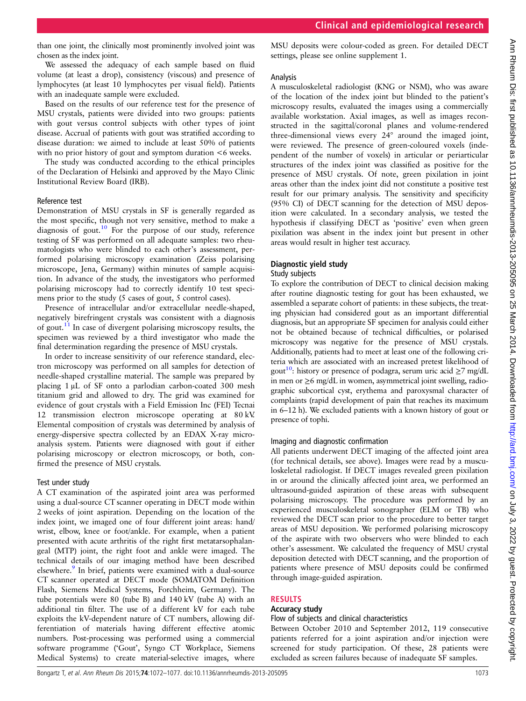than one joint, the clinically most prominently involved joint was chosen as the index joint.

We assessed the adequacy of each sample based on fluid volume (at least a drop), consistency (viscous) and presence of lymphocytes (at least 10 lymphocytes per visual field). Patients with an inadequate sample were excluded.

Based on the results of our reference test for the presence of MSU crystals, patients were divided into two groups: patients with gout versus control subjects with other types of joint disease. Accrual of patients with gout was stratified according to disease duration: we aimed to include at least 50% of patients with no prior history of gout and symptom duration  $<6$  weeks.

The study was conducted according to the ethical principles of the Declaration of Helsinki and approved by the Mayo Clinic Institutional Review Board (IRB).

#### Reference test

Demonstration of MSU crystals in SF is generally regarded as the most specific, though not very sensitive, method to make a diagnosis of gout.<sup>[10](#page-5-0)</sup> For the purpose of our study, reference testing of SF was performed on all adequate samples: two rheumatologists who were blinded to each other's assessment, performed polarising microscopy examination (Zeiss polarising microscope, Jena, Germany) within minutes of sample acquisition. In advance of the study, the investigators who performed polarising microscopy had to correctly identify 10 test specimens prior to the study (5 cases of gout, 5 control cases).

Presence of intracellular and/or extracellular needle-shaped, negatively birefringent crystals was consistent with a diagnosis of gout.[11](#page-5-0) In case of divergent polarising microscopy results, the specimen was reviewed by a third investigator who made the final determination regarding the presence of MSU crystals.

In order to increase sensitivity of our reference standard, electron microscopy was performed on all samples for detection of needle-shaped crystalline material. The sample was prepared by placing 1 μL of SF onto a parlodian carbon-coated 300 mesh titanium grid and allowed to dry. The grid was examined for evidence of gout crystals with a Field Emission Inc (FEI) Tecnai 12 transmission electron microscope operating at 80 kV. Elemental composition of crystals was determined by analysis of energy-dispersive spectra collected by an EDAX X-ray microanalysis system. Patients were diagnosed with gout if either polarising microscopy or electron microscopy, or both, confirmed the presence of MSU crystals.

#### Test under study

A CT examination of the aspirated joint area was performed using a dual-source CT scanner operating in DECT mode within 2 weeks of joint aspiration. Depending on the location of the index joint, we imaged one of four different joint areas: hand/ wrist, elbow, knee or foot/ankle. For example, when a patient presented with acute arthritis of the right first metatarsophalangeal (MTP) joint, the right foot and ankle were imaged. The technical details of our imaging method have been described elsewhere.<sup>9</sup> In brief, patients were examined with a dual-source CT scanner operated at DECT mode (SOMATOM Definition Flash, Siemens Medical Systems, Forchheim, Germany). The tube potentials were 80 (tube B) and 140 kV (tube A) with an additional tin filter. The use of a different kV for each tube exploits the kV-dependent nature of CT numbers, allowing differentiation of materials having different effective atomic numbers. Post-processing was performed using a commercial software programme ('Gout', Syngo CT Workplace, Siemens Medical Systems) to create material-selective images, where

MSU deposits were colour-coded as green. For detailed DECT settings, please see online supplement 1.

#### Analysis

A musculoskeletal radiologist (KNG or NSM), who was aware of the location of the index joint but blinded to the patient's microscopy results, evaluated the images using a commercially available workstation. Axial images, as well as images reconstructed in the sagittal/coronal planes and volume-rendered three-dimensional views every 24° around the imaged joint, were reviewed. The presence of green-coloured voxels (independent of the number of voxels) in articular or periarticular structures of the index joint was classified as positive for the presence of MSU crystals. Of note, green pixilation in joint areas other than the index joint did not constitute a positive test result for our primary analysis. The sensitivity and specificity (95% CI) of DECT scanning for the detection of MSU deposition were calculated. In a secondary analysis, we tested the hypothesis if classifying DECT as 'positive' even when green pixilation was absent in the index joint but present in other areas would result in higher test accuracy.

#### Diagnostic yield study

#### Study subjects

To explore the contribution of DECT to clinical decision making after routine diagnostic testing for gout has been exhausted, we assembled a separate cohort of patients: in these subjects, the treating physician had considered gout as an important differential diagnosis, but an appropriate SF specimen for analysis could either not be obtained because of technical difficulties, or polarised microscopy was negative for the presence of MSU crystals. Additionally, patients had to meet at least one of the following criteria which are associated with an increased pretest likelihood of gout<sup>10</sup>: history or presence of podagra, serum uric acid  $\geq 7$  mg/dL in men or ≥6 mg/dL in women, asymmetrical joint swelling, radiographic subcortical cyst, erythema and paroxysmal character of complaints (rapid development of pain that reaches its maximum in 6–12 h). We excluded patients with a known history of gout or presence of tophi.

#### Imaging and diagnostic confirmation

All patients underwent DECT imaging of the affected joint area (for technical details, see above). Images were read by a musculoskeletal radiologist. If DECT images revealed green pixilation in or around the clinically affected joint area, we performed an ultrasound-guided aspiration of these areas with subsequent polarising microscopy. The procedure was performed by an experienced musculoskeletal sonographer (ELM or TB) who reviewed the DECT scan prior to the procedure to better target areas of MSU deposition. We performed polarising microscopy of the aspirate with two observers who were blinded to each other's assessment. We calculated the frequency of MSU crystal deposition detected with DECT scanning, and the proportion of patients where presence of MSU deposits could be confirmed through image-guided aspiration.

#### RESULTS

#### Accuracy study

#### Flow of subjects and clinical characteristics

Between October 2010 and September 2012, 119 consecutive patients referred for a joint aspiration and/or injection were screened for study participation. Of these, 28 patients were excluded as screen failures because of inadequate SF samples.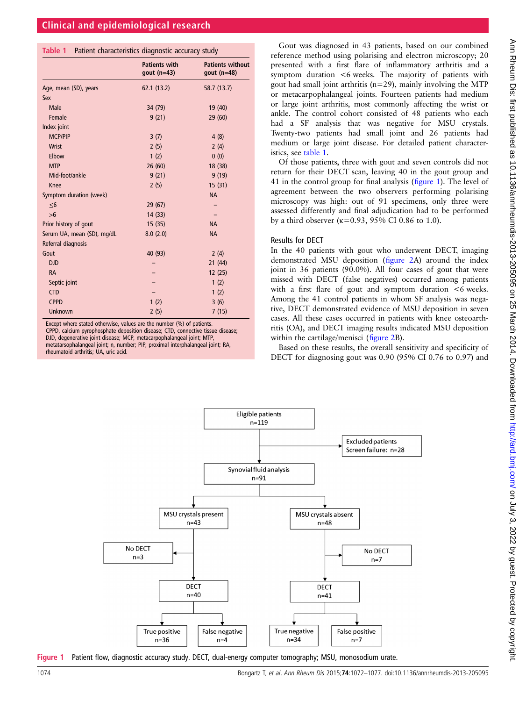#### Table 1 Patient characteristics diagnostic accuracy study

|                            | <b>Patients with</b><br>gout $(n=43)$ | <b>Patients without</b><br>gout $(n=48)$ |
|----------------------------|---------------------------------------|------------------------------------------|
| Age, mean (SD), years      | 62.1(13.2)                            | 58.7 (13.7)                              |
| Sex                        |                                       |                                          |
| Male                       | 34 (79)                               | 19 (40)                                  |
| Female                     | 9(21)                                 | 29 (60)                                  |
| Index joint                |                                       |                                          |
| <b>MCP/PIP</b>             | 3(7)                                  | 4(8)                                     |
| Wrist                      | 2(5)                                  | 2(4)                                     |
| Elbow                      | 1(2)                                  | 0(0)                                     |
| <b>MTP</b>                 | 26(60)                                | 18 (38)                                  |
| Mid-foot/ankle             | 9(21)                                 | 9(19)                                    |
| Knee                       | 2(5)                                  | 15(31)                                   |
| Symptom duration (week)    |                                       | <b>NA</b>                                |
| $\leq 6$                   | 29 (67)                               |                                          |
| $>6$                       | 14(33)                                |                                          |
| Prior history of gout      | 15(35)                                | <b>NA</b>                                |
| Serum UA, mean (SD), mg/dL | 8.0(2.0)                              | <b>NA</b>                                |
| Referral diagnosis         |                                       |                                          |
| Gout                       | 40 (93)                               | 2(4)                                     |
| <b>DJD</b>                 |                                       | 21(44)                                   |
| <b>RA</b>                  |                                       | 12(25)                                   |
| Septic joint               |                                       | 1(2)                                     |
| <b>CTD</b>                 |                                       | 1(2)                                     |
| <b>CPPD</b>                | 1(2)                                  | 3(6)                                     |
| <b>Unknown</b>             | 2(5)                                  | 7(15)                                    |

Except where stated otherwise, values are the number (%) of patients.

CPPD, calcium pyrophosphate deposition disease; CTD, connective tissue disease; DJD, degenerative joint disease; MCP, metacarpophalangeal joint; MTP, metatarsophalangeal joint; n, number; PIP, proximal interphalangeal joint; RA, rheumatoid arthritis; UA, uric acid.

Gout was diagnosed in 43 patients, based on our combined reference method using polarising and electron microscopy; 20 presented with a first flare of inflammatory arthritis and a symptom duration <6 weeks. The majority of patients with gout had small joint arthritis (n=29), mainly involving the MTP or metacarpophalangeal joints. Fourteen patients had medium or large joint arthritis, most commonly affecting the wrist or ankle. The control cohort consisted of 48 patients who each had a SF analysis that was negative for MSU crystals. Twenty-two patients had small joint and 26 patients had medium or large joint disease. For detailed patient characteristics, see table 1.

Of those patients, three with gout and seven controls did not return for their DECT scan, leaving 40 in the gout group and 41 in the control group for final analysis (figure 1). The level of agreement between the two observers performing polarising microscopy was high: out of 91 specimens, only three were assessed differently and final adjudication had to be performed by a third observer ( $\kappa$ =0.93, 95% CI 0.86 to 1.0).

#### Results for DECT

In the 40 patients with gout who underwent DECT, imaging demonstrated MSU deposition (fi[gure 2A](#page-3-0)) around the index joint in 36 patients (90.0%). All four cases of gout that were missed with DECT (false negatives) occurred among patients with a first flare of gout and symptom duration <6 weeks. Among the 41 control patients in whom SF analysis was negative, DECT demonstrated evidence of MSU deposition in seven cases. All these cases occurred in patients with knee osteoarthritis (OA), and DECT imaging results indicated MSU deposition within the cartilage/menisci (fi[gure 2](#page-3-0)B).

Based on these results, the overall sensitivity and specificity of DECT for diagnosing gout was 0.90 (95% CI 0.76 to 0.97) and



Figure 1 Patient flow, diagnostic accuracy study. DECT, dual-energy computer tomography; MSU, monosodium urate.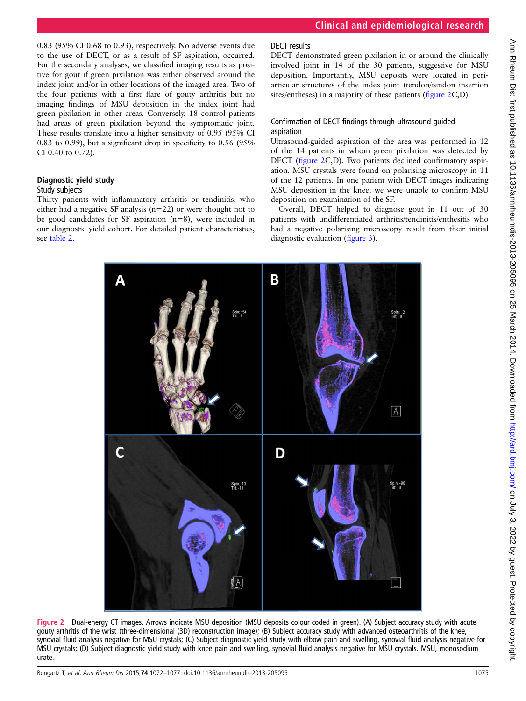<span id="page-3-0"></span>0.83 (95% CI 0.68 to 0.93), respectively. No adverse events due to the use of DECT, or as a result of SF aspiration, occurred. For the secondary analyses, we classified imaging results as positive for gout if green pixilation was either observed around the index joint and/or in other locations of the imaged area. Two of the four patients with a first flare of gouty arthritis but no imaging findings of MSU deposition in the index joint had green pixilation in other areas. Conversely, 18 control patients had areas of green pixilation beyond the symptomatic joint. These results translate into a higher sensitivity of 0.95 (95% CI 0.83 to 0.99), but a significant drop in specificity to 0.56 (95% CI 0.40 to 0.72).

## Diagnostic yield study

#### Study subjects

Thirty patients with inflammatory arthritis or tendinitis, who either had a negative SF analysis (n=22) or were thought not to be good candidates for SF aspiration (n=8), were included in our diagnostic yield cohort. For detailed patient characteristics, see [table 2](#page-4-0).

## DECT results

DECT demonstrated green pixilation in or around the clinically involved joint in 14 of the 30 patients, suggestive for MSU deposition. Importantly, MSU deposits were located in periarticular structures of the index joint (tendon/tendon insertion sites/entheses) in a majority of these patients (figure 2C,D).

## Confirmation of DECT findings through ultrasound-guided aspiration

Ultrasound-guided aspiration of the area was performed in 12 of the 14 patients in whom green pixilation was detected by DECT (figure 2C,D). Two patients declined confirmatory aspiration. MSU crystals were found on polarising microscopy in 11 of the 12 patients. In one patient with DECT images indicating MSU deposition in the knee, we were unable to confirm MSU deposition on examination of the SF.

Overall, DECT helped to diagnose gout in 11 out of 30 patients with undifferentiated arthritis/tendinitis/enthesitis who had a negative polarising microscopy result from their initial diagnostic evaluation (fi[gure 3](#page-4-0)).



Figure 2 Dual-energy CT images. Arrows indicate MSU deposition (MSU deposits colour coded in green). (A) Subject accuracy study with acute gouty arthritis of the wrist (three-dimensional (3D) reconstruction image); (B) Subject accuracy study with advanced osteoarthritis of the knee, synovial fluid analysis negative for MSU crystals; (C) Subject diagnostic yield study with elbow pain and swelling, synovial fluid analysis negative for MSU crystals; (D) Subject diagnostic yield study with knee pain and swelling, synovial fluid analysis negative for MSU crystals. MSU, monosodium urate.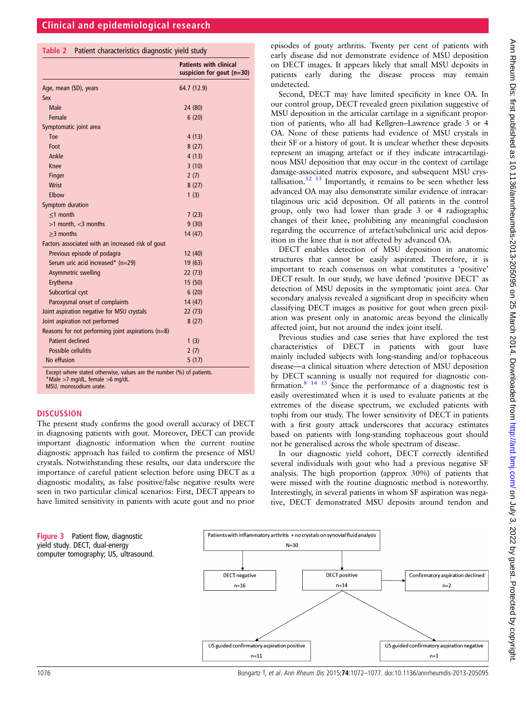<span id="page-4-0"></span>

|  |  | Table 2 Patient characteristics diagnostic yield study |  |  |  |
|--|--|--------------------------------------------------------|--|--|--|
|--|--|--------------------------------------------------------|--|--|--|

|                                                      | <b>Patients with clinical</b><br>suspicion for gout $(n=30)$ |
|------------------------------------------------------|--------------------------------------------------------------|
| Age, mean (SD), years                                | 64.7 (12.9)                                                  |
| Sex                                                  |                                                              |
| Male                                                 | 24 (80)                                                      |
| Female                                               | 6(20)                                                        |
| Symptomatic joint area                               |                                                              |
| Toe                                                  | 4(13)                                                        |
| Foot                                                 | 8(27)                                                        |
| Ankle                                                | 4(13)                                                        |
| Knee                                                 | 3(10)                                                        |
| Finger                                               | 2(7)                                                         |
| <b>Wrist</b>                                         | 8(27)                                                        |
| Elbow                                                | 1(3)                                                         |
| Symptom duration                                     |                                                              |
| $<$ 1 month                                          | 7(23)                                                        |
| $>1$ month, $<$ 3 months                             | 9(30)                                                        |
| $>3$ months                                          | 14(47)                                                       |
| Factors associated with an increased risk of gout    |                                                              |
| Previous episode of podagra                          | 12 (40)                                                      |
| Serum uric acid increased* (n=29)                    | 19(63)                                                       |
| Asymmetric swelling                                  | 22 (73)                                                      |
| Erythema                                             | 15(50)                                                       |
| Subcortical cyst                                     | 6(20)                                                        |
| Paroxysmal onset of complaints                       | 14(47)                                                       |
| Joint aspiration negative for MSU crystals           | 22 (73)                                                      |
| Joint aspiration not performed                       | 8(27)                                                        |
| Reasons for not performing joint aspirations $(n=8)$ |                                                              |
| Patient declined                                     | 1(3)                                                         |
| Possible cellulitis                                  | 2(7)                                                         |
| No effusion                                          | 5(17)                                                        |

Except where stated otherwise, values are the number (%) of patients. \*Male >7 mg/dL, female >6 mg/dL. MSU, monosodium urate.

#### **DISCUSSION**

The present study confirms the good overall accuracy of DECT in diagnosing patients with gout. Moreover, DECT can provide important diagnostic information when the current routine diagnostic approach has failed to confirm the presence of MSU crystals. Notwithstanding these results, our data underscore the importance of careful patient selection before using DECT as a diagnostic modality, as false positive/false negative results were seen in two particular clinical scenarios: First, DECT appears to have limited sensitivity in patients with acute gout and no prior

episodes of gouty arthritis. Twenty per cent of patients with early disease did not demonstrate evidence of MSU deposition on DECT images. It appears likely that small MSU deposits in patients early during the disease process may remain undetected.

Second, DECT may have limited specificity in knee OA. In our control group, DECT revealed green pixilation suggestive of MSU deposition in the articular cartilage in a significant proportion of patients, who all had Kellgren–Lawrence grade 3 or 4 OA. None of these patients had evidence of MSU crystals in their SF or a history of gout. It is unclear whether these deposits represent an imaging artefact or if they indicate intracartilaginous MSU deposition that may occur in the context of cartilage damage-associated matrix exposure, and subsequent MSU crys-tallisation.<sup>[12 13](#page-5-0)</sup> Importantly, it remains to be seen whether less advanced OA may also demonstrate similar evidence of intracartilaginous uric acid deposition. Of all patients in the control group, only two had lower than grade 3 or 4 radiographic changes of their knee, prohibiting any meaningful conclusion regarding the occurrence of artefact/subclinical uric acid deposition in the knee that is not affected by advanced OA.

DECT enables detection of MSU deposition in anatomic structures that cannot be easily aspirated. Therefore, it is important to reach consensus on what constitutes a 'positive' DECT result. In our study, we have defined 'positive DECT' as detection of MSU deposits in the symptomatic joint area. Our secondary analysis revealed a significant drop in specificity when classifying DECT images as positive for gout when green pixilation was present only in anatomic areas beyond the clinically affected joint, but not around the index joint itself.

Previous studies and case series that have explored the test characteristics of DECT in patients with gout have mainly included subjects with long-standing and/or tophaceous disease—a clinical situation where detection of MSU deposition by DECT scanning is usually not required for diagnostic confirmation.<sup>8</sup> <sup>14</sup> <sup>15</sup> Since the performance of a diagnostic test is easily overestimated when it is used to evaluate patients at the extremes of the disease spectrum, we excluded patients with tophi from our study. The lower sensitivity of DECT in patients with a first gouty attack underscores that accuracy estimates based on patients with long-standing tophaceous gout should not be generalised across the whole spectrum of disease.

In our diagnostic yield cohort, DECT correctly identified several individuals with gout who had a previous negative SF analysis. The high proportion (approx 30%) of patients that were missed with the routine diagnostic method is noteworthy. Interestingly, in several patients in whom SF aspiration was negative, DECT demonstrated MSU deposits around tendon and